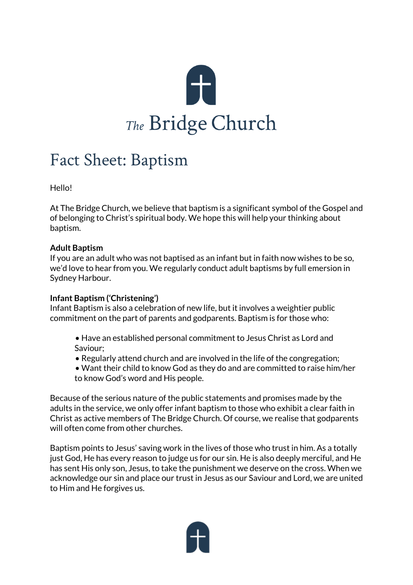

## Fact Sheet: Baptism

Hello!

At The Bridge Church, we believe that baptism is a significant symbol of the Gospel and of belonging to Christ's spiritual body. We hope this will help your thinking about baptism.

## **Adult Baptism**

If you are an adult who was not baptised as an infant but in faith now wishes to be so, we'd love to hear from you. We regularly conduct adult baptisms by full emersion in Sydney Harbour.

## **Infant Baptism ('Christening')**

Infant Baptism is also a celebration of new life, but it involves a weightier public commitment on the part of parents and godparents. Baptism is for those who:

- Have an established personal commitment to Jesus Christ as Lord and Saviour;
- Regularly attend church and are involved in the life of the congregation;
- Want their child to know God as they do and are committed to raise him/her to know God's word and His people.

Because of the serious nature of the public statements and promises made by the adults in the service, we only offer infant baptism to those who exhibit a clear faith in Christ as active members of The Bridge Church. Of course, we realise that godparents will often come from other churches.

Baptism points to Jesus' saving work in the lives of those who trust in him. As a totally just God, He has every reason to judge us for our sin. He is also deeply merciful, and He has sent His only son, Jesus, to take the punishment we deserve on the cross. When we acknowledge our sin and place our trust in Jesus as our Saviour and Lord, we are united to Him and He forgives us.

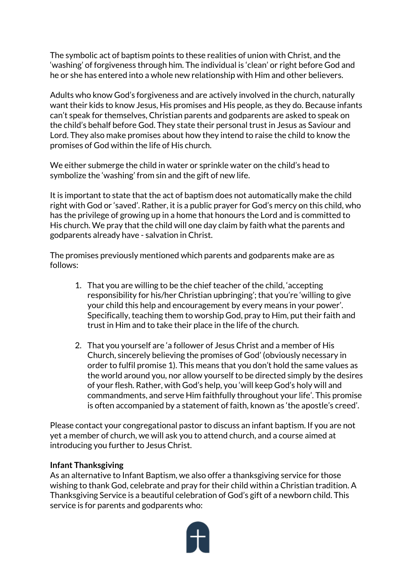The symbolic act of baptism points to these realities of union with Christ, and the 'washing' of forgiveness through him. The individual is 'clean' or right before God and he or she has entered into a whole new relationship with Him and other believers.

Adults who know God's forgiveness and are actively involved in the church, naturally want their kids to know Jesus, His promises and His people, as they do. Because infants can't speak for themselves, Christian parents and godparents are asked to speak on the child's behalf before God. They state their personal trust in Jesus as Saviour and Lord. They also make promises about how they intend to raise the child to know the promises of God within the life of His church.

We either submerge the child in water or sprinkle water on the child's head to symbolize the 'washing' from sin and the gift of new life.

It is important to state that the act of baptism does not automatically make the child right with God or 'saved'. Rather, it is a public prayer for God's mercy on this child, who has the privilege of growing up in a home that honours the Lord and is committed to His church. We pray that the child will one day claim by faith what the parents and godparents already have - salvation in Christ.

The promises previously mentioned which parents and godparents make are as follows:

- 1. That you are willing to be the chief teacher of the child, 'accepting responsibility for his/her Christian upbringing'; that you're 'willing to give your child this help and encouragement by every means in your power'. Specifically, teaching them to worship God, pray to Him, put their faith and trust in Him and to take their place in the life of the church.
- 2. That you yourself are 'a follower of Jesus Christ and a member of His Church, sincerely believing the promises of God' (obviously necessary in order to fulfil promise 1). This means that you don't hold the same values as the world around you, nor allow yourself to be directed simply by the desires of your flesh. Rather, with God's help, you 'will keep God's holy will and commandments, and serve Him faithfully throughout your life'. This promise is often accompanied by a statement of faith, known as 'the apostle's creed'.

Please contact your congregational pastor to discuss an infant baptism. If you are not yet a member of church, we will ask you to attend church, and a course aimed at introducing you further to Jesus Christ.

## **Infant Thanksgiving**

As an alternative to Infant Baptism, we also offer a thanksgiving service for those wishing to thank God, celebrate and pray for their child within a Christian tradition. A Thanksgiving Service is a beautiful celebration of God's gift of a newborn child. This service is for parents and godparents who: